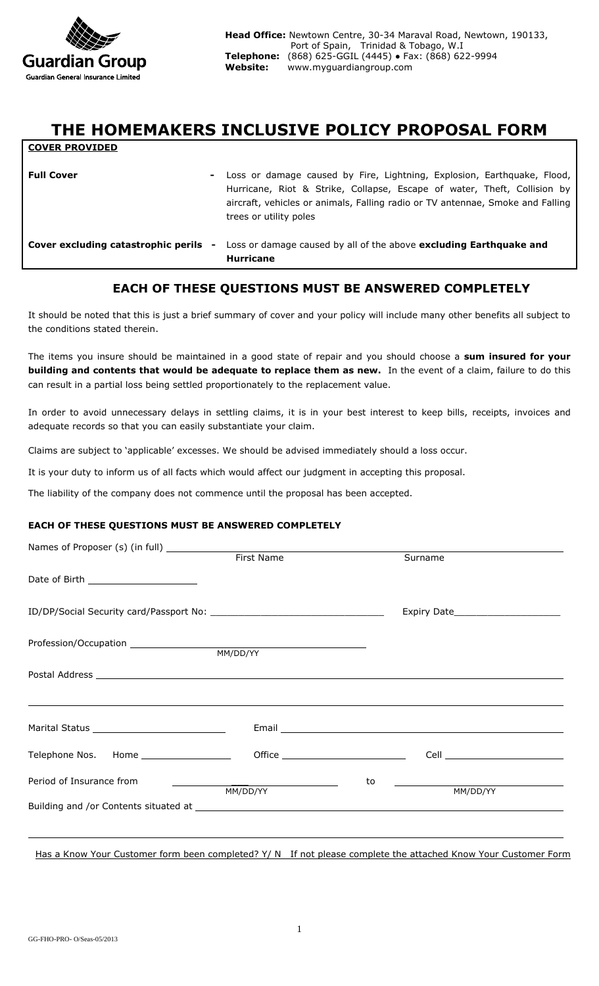

**COVER PROVIDED**

# **THE HOMEMAKERS INCLUSIVE POLICY PROPOSAL FORM**

| <b>Full Cover</b><br>$\sim$                           | Loss or damage caused by Fire, Lightning, Explosion, Earthquake, Flood,<br>Hurricane, Riot & Strike, Collapse, Escape of water, Theft, Collision by<br>aircraft, vehicles or animals, Falling radio or TV antennae, Smoke and Falling<br>trees or utility poles |
|-------------------------------------------------------|-----------------------------------------------------------------------------------------------------------------------------------------------------------------------------------------------------------------------------------------------------------------|
| Cover excluding catastrophic perils<br>$\blacksquare$ | Loss or damage caused by all of the above excluding Earthquake and<br><b>Hurricane</b>                                                                                                                                                                          |

## **EACH OF THESE QUESTIONS MUST BE ANSWERED COMPLETELY**

It should be noted that this is just a brief summary of cover and your policy will include many other benefits all subject to the conditions stated therein.

The items you insure should be maintained in a good state of repair and you should choose a **sum insured for your building and contents that would be adequate to replace them as new.** In the event of a claim, failure to do this can result in a partial loss being settled proportionately to the replacement value.

In order to avoid unnecessary delays in settling claims, it is in your best interest to keep bills, receipts, invoices and adequate records so that you can easily substantiate your claim.

Claims are subject to 'applicable' excesses. We should be advised immediately should a loss occur.

It is your duty to inform us of all facts which would affect our judgment in accepting this proposal.

The liability of the company does not commence until the proposal has been accepted.

#### **EACH OF THESE QUESTIONS MUST BE ANSWERED COMPLETELY**

|                                                                                                                      |    | Surname                                                                                                                                                                |
|----------------------------------------------------------------------------------------------------------------------|----|------------------------------------------------------------------------------------------------------------------------------------------------------------------------|
| Date of Birth _______________________                                                                                |    |                                                                                                                                                                        |
|                                                                                                                      |    |                                                                                                                                                                        |
|                                                                                                                      |    |                                                                                                                                                                        |
|                                                                                                                      |    |                                                                                                                                                                        |
| <u> 1989 - Andrea Santa Andrea Santa Andrea Santa Andrea Santa Andrea Santa Andrea Santa Andrea Santa Andrea San</u> |    |                                                                                                                                                                        |
|                                                                                                                      |    | Cell <b>Cell Cell Cell Cell Cell Cell Cell Cell Cell Cell Cell Cell Cell Cell Cell Cell Cell Cell Cell Cell Cell Cell Cell Cell Cell Cell Cell Cell Cell Cell Cell</b> |
| Period of Insurance from                                                                                             | to | MM/DD/YY                                                                                                                                                               |
|                                                                                                                      |    |                                                                                                                                                                        |
|                                                                                                                      |    |                                                                                                                                                                        |

Has a Know Your Customer form been completed? Y/ N If not please complete the attached Know Your Customer Form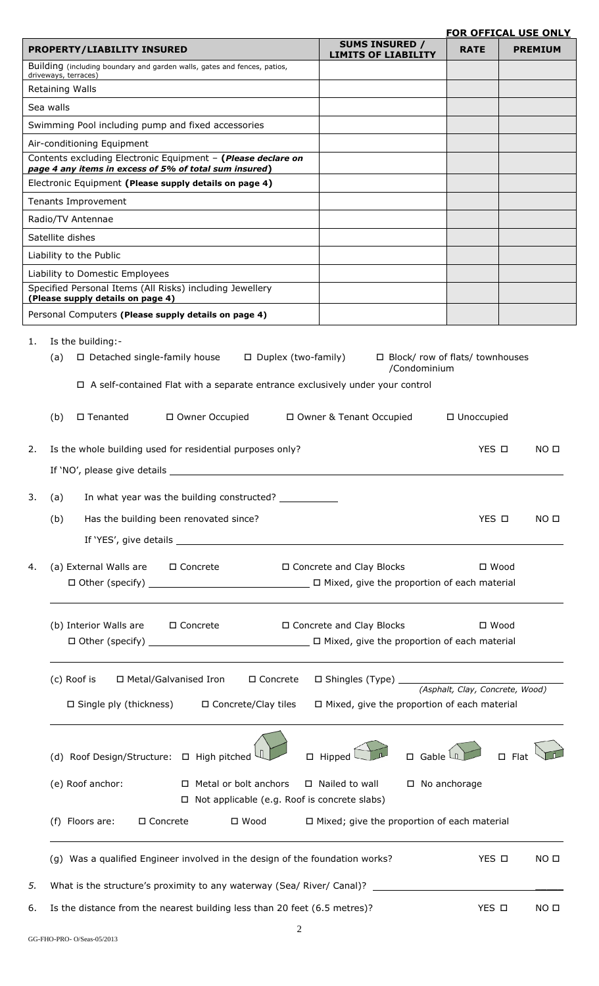### **FOR OFFICAL USE ONLY**

|                                   |                                                                                                                        |                                                                                                                                                                                                                                                                                                                                                                                                                                                                                                                                                |             | <u>FOR OFFICAL USE ONLY</u> |
|-----------------------------------|------------------------------------------------------------------------------------------------------------------------|------------------------------------------------------------------------------------------------------------------------------------------------------------------------------------------------------------------------------------------------------------------------------------------------------------------------------------------------------------------------------------------------------------------------------------------------------------------------------------------------------------------------------------------------|-------------|-----------------------------|
|                                   | <b>PROPERTY/LIABILITY INSURED</b>                                                                                      | <b>SUMS INSURED /</b><br><b>LIMITS OF LIABILITY</b>                                                                                                                                                                                                                                                                                                                                                                                                                                                                                            | <b>RATE</b> | <b>PREMIUM</b>              |
| driveways, terraces)              | Building (including boundary and garden walls, gates and fences, patios,                                               |                                                                                                                                                                                                                                                                                                                                                                                                                                                                                                                                                |             |                             |
| Retaining Walls                   |                                                                                                                        |                                                                                                                                                                                                                                                                                                                                                                                                                                                                                                                                                |             |                             |
| Sea walls                         |                                                                                                                        |                                                                                                                                                                                                                                                                                                                                                                                                                                                                                                                                                |             |                             |
|                                   | Swimming Pool including pump and fixed accessories                                                                     |                                                                                                                                                                                                                                                                                                                                                                                                                                                                                                                                                |             |                             |
| Air-conditioning Equipment        |                                                                                                                        |                                                                                                                                                                                                                                                                                                                                                                                                                                                                                                                                                |             |                             |
|                                   | Contents excluding Electronic Equipment - (Please declare on<br>page 4 any items in excess of 5% of total sum insured) |                                                                                                                                                                                                                                                                                                                                                                                                                                                                                                                                                |             |                             |
|                                   | Electronic Equipment (Please supply details on page 4)                                                                 |                                                                                                                                                                                                                                                                                                                                                                                                                                                                                                                                                |             |                             |
| Tenants Improvement               |                                                                                                                        |                                                                                                                                                                                                                                                                                                                                                                                                                                                                                                                                                |             |                             |
| Radio/TV Antennae                 |                                                                                                                        |                                                                                                                                                                                                                                                                                                                                                                                                                                                                                                                                                |             |                             |
| Satellite dishes                  |                                                                                                                        |                                                                                                                                                                                                                                                                                                                                                                                                                                                                                                                                                |             |                             |
| Liability to the Public           |                                                                                                                        |                                                                                                                                                                                                                                                                                                                                                                                                                                                                                                                                                |             |                             |
| Liability to Domestic Employees   |                                                                                                                        |                                                                                                                                                                                                                                                                                                                                                                                                                                                                                                                                                |             |                             |
| (Please supply details on page 4) | Specified Personal Items (All Risks) including Jewellery                                                               |                                                                                                                                                                                                                                                                                                                                                                                                                                                                                                                                                |             |                             |
|                                   | Personal Computers (Please supply details on page 4)                                                                   |                                                                                                                                                                                                                                                                                                                                                                                                                                                                                                                                                |             |                             |
| Is the building:-<br>1.           |                                                                                                                        |                                                                                                                                                                                                                                                                                                                                                                                                                                                                                                                                                |             |                             |
| (a)                               | $\Box$ Detached single-family house                                                                                    |                                                                                                                                                                                                                                                                                                                                                                                                                                                                                                                                                |             |                             |
|                                   |                                                                                                                        | $\Box$ Duplex (two-family)<br>□ Block/ row of flats/ townhouses<br>/Condominium<br>□ Owner & Tenant Occupied<br>□ Unoccupied<br>YES O<br>NO <sub>D</sub><br>YES O<br>NO <sub>II</sub><br>□ Concrete and Clay Blocks<br>$\square$ Wood<br>□ Concrete and Clay Blocks<br>$\square$ Wood<br>□ Concrete<br>$\Box$ Mixed, give the proportion of each material<br>$\Box$ Gable $\Box$<br>$\Box$ Flat<br>$\Box$ Hipped<br>$\Box$ Nailed to wall<br>□ No anchorage<br>$\Box$ Mixed; give the proportion of each material<br>YES O<br>NO <sub>II</sub> |             |                             |
|                                   | $\Box$ A self-contained Flat with a separate entrance exclusively under your control                                   |                                                                                                                                                                                                                                                                                                                                                                                                                                                                                                                                                |             |                             |
| (b)<br>$\square$ Tenanted         | □ Owner Occupied                                                                                                       |                                                                                                                                                                                                                                                                                                                                                                                                                                                                                                                                                |             |                             |
| 2.                                | Is the whole building used for residential purposes only?                                                              |                                                                                                                                                                                                                                                                                                                                                                                                                                                                                                                                                |             |                             |
|                                   |                                                                                                                        |                                                                                                                                                                                                                                                                                                                                                                                                                                                                                                                                                |             |                             |
|                                   |                                                                                                                        |                                                                                                                                                                                                                                                                                                                                                                                                                                                                                                                                                |             |                             |
| 3.<br>(a)                         | In what year was the building constructed? _____________                                                               |                                                                                                                                                                                                                                                                                                                                                                                                                                                                                                                                                |             |                             |
| (b)                               | Has the building been renovated since?                                                                                 |                                                                                                                                                                                                                                                                                                                                                                                                                                                                                                                                                |             |                             |
|                                   |                                                                                                                        |                                                                                                                                                                                                                                                                                                                                                                                                                                                                                                                                                |             |                             |
|                                   |                                                                                                                        |                                                                                                                                                                                                                                                                                                                                                                                                                                                                                                                                                |             |                             |
| 4.                                | (a) External Walls are □ Concrete                                                                                      |                                                                                                                                                                                                                                                                                                                                                                                                                                                                                                                                                |             |                             |
|                                   |                                                                                                                        |                                                                                                                                                                                                                                                                                                                                                                                                                                                                                                                                                |             |                             |
|                                   |                                                                                                                        |                                                                                                                                                                                                                                                                                                                                                                                                                                                                                                                                                |             |                             |
|                                   | (b) Interior Walls are □ Concrete                                                                                      |                                                                                                                                                                                                                                                                                                                                                                                                                                                                                                                                                |             |                             |
|                                   |                                                                                                                        |                                                                                                                                                                                                                                                                                                                                                                                                                                                                                                                                                |             |                             |
|                                   |                                                                                                                        |                                                                                                                                                                                                                                                                                                                                                                                                                                                                                                                                                |             |                             |
| (c) Roof is                       | □ Metal/Galvanised Iron                                                                                                |                                                                                                                                                                                                                                                                                                                                                                                                                                                                                                                                                |             |                             |
|                                   | □ Single ply (thickness) □ Concrete/Clay tiles                                                                         |                                                                                                                                                                                                                                                                                                                                                                                                                                                                                                                                                |             |                             |
|                                   |                                                                                                                        |                                                                                                                                                                                                                                                                                                                                                                                                                                                                                                                                                |             |                             |
|                                   |                                                                                                                        |                                                                                                                                                                                                                                                                                                                                                                                                                                                                                                                                                |             |                             |
|                                   | (d) Roof Design/Structure: $\Box$ High pitched                                                                         |                                                                                                                                                                                                                                                                                                                                                                                                                                                                                                                                                |             |                             |
| (e) Roof anchor:                  | □ Metal or bolt anchors                                                                                                |                                                                                                                                                                                                                                                                                                                                                                                                                                                                                                                                                |             |                             |
|                                   | $\Box$ Not applicable (e.g. Roof is concrete slabs)                                                                    |                                                                                                                                                                                                                                                                                                                                                                                                                                                                                                                                                |             |                             |
| (f) Floors are:                   | □ Concrete<br>$\square$ Wood                                                                                           |                                                                                                                                                                                                                                                                                                                                                                                                                                                                                                                                                |             |                             |
|                                   |                                                                                                                        |                                                                                                                                                                                                                                                                                                                                                                                                                                                                                                                                                |             |                             |
|                                   | (g) Was a qualified Engineer involved in the design of the foundation works?                                           |                                                                                                                                                                                                                                                                                                                                                                                                                                                                                                                                                |             |                             |
|                                   |                                                                                                                        |                                                                                                                                                                                                                                                                                                                                                                                                                                                                                                                                                |             |                             |
| 5.                                |                                                                                                                        |                                                                                                                                                                                                                                                                                                                                                                                                                                                                                                                                                |             |                             |

6. Is the distance from the nearest building less than 20 feet (6.5 metres)?  $YES \Box$  NO  $\Box$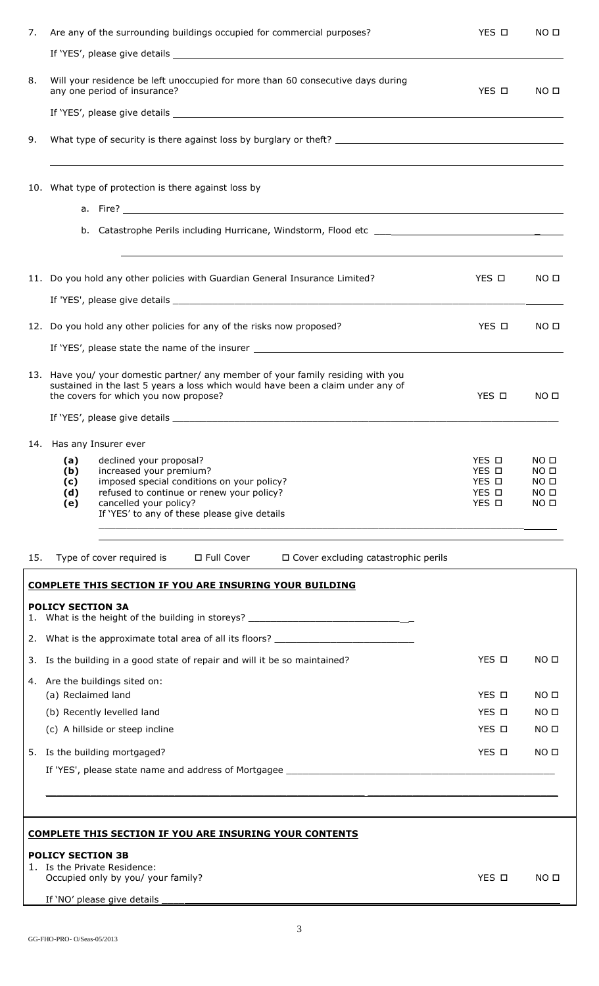| 7.  | Are any of the surrounding buildings occupied for commercial purposes?                                                                                                                                                                                     | YES O                                     | NO <sub>II</sub>                                                                              |
|-----|------------------------------------------------------------------------------------------------------------------------------------------------------------------------------------------------------------------------------------------------------------|-------------------------------------------|-----------------------------------------------------------------------------------------------|
| 8.  | Will your residence be left unoccupied for more than 60 consecutive days during<br>any one period of insurance?                                                                                                                                            | YES O                                     | NO <sub>II</sub>                                                                              |
| 9.  |                                                                                                                                                                                                                                                            |                                           |                                                                                               |
|     | 10. What type of protection is there against loss by<br>a. Fire? $\overline{\phantom{a}}$ . Fire $\overline{\phantom{a}}$                                                                                                                                  |                                           |                                                                                               |
|     |                                                                                                                                                                                                                                                            |                                           |                                                                                               |
|     | 11. Do you hold any other policies with Guardian General Insurance Limited?                                                                                                                                                                                | YES O                                     | NO <sub>II</sub>                                                                              |
|     | 12. Do you hold any other policies for any of the risks now proposed?                                                                                                                                                                                      | YES O                                     | NO <sub>0</sub>                                                                               |
|     |                                                                                                                                                                                                                                                            |                                           |                                                                                               |
|     | 13. Have you/ your domestic partner/ any member of your family residing with you<br>sustained in the last 5 years a loss which would have been a claim under any of<br>the covers for which you now propose?                                               | YES O                                     | NO <sub>II</sub>                                                                              |
|     |                                                                                                                                                                                                                                                            |                                           |                                                                                               |
|     | 14. Has any Insurer ever                                                                                                                                                                                                                                   |                                           |                                                                                               |
|     | declined your proposal?<br>(a)<br>increased your premium?<br>(b)<br>imposed special conditions on your policy?<br>(c)<br>refused to continue or renew your policy?<br>(d)<br>cancelled your policy?<br>(e)<br>If 'YES' to any of these please give details | YES □<br>YES O<br>YES O<br>YES O<br>YES O | NO <sub>D</sub><br>NO <sub>II</sub><br>NO <sub>0</sub><br>NO <sub>II</sub><br>NO <sub>D</sub> |
| 15. | Type of cover required is $\Box$ Full Cover<br>□ Cover excluding catastrophic perils                                                                                                                                                                       |                                           |                                                                                               |
|     | <b>COMPLETE THIS SECTION IF YOU ARE INSURING YOUR BUILDING</b>                                                                                                                                                                                             |                                           |                                                                                               |
|     | <b>POLICY SECTION 3A</b><br>1. What is the height of the building in storeys? ______________________________                                                                                                                                               |                                           |                                                                                               |
|     | 2. What is the approximate total area of all its floors? _______________________                                                                                                                                                                           |                                           |                                                                                               |
|     | 3. Is the building in a good state of repair and will it be so maintained?                                                                                                                                                                                 | YES O                                     | NO <sub>II</sub>                                                                              |
|     | 4. Are the buildings sited on:                                                                                                                                                                                                                             |                                           |                                                                                               |
|     | (a) Reclaimed land                                                                                                                                                                                                                                         | YES O                                     | NO <sub>0</sub>                                                                               |
|     | (b) Recently levelled land                                                                                                                                                                                                                                 | YES O                                     | NO <sub>0</sub>                                                                               |
|     | (c) A hillside or steep incline                                                                                                                                                                                                                            | YES O                                     | NO <sub>II</sub>                                                                              |
|     | 5. Is the building mortgaged?                                                                                                                                                                                                                              | YES □                                     | NO <sub>II</sub>                                                                              |
|     |                                                                                                                                                                                                                                                            |                                           |                                                                                               |
|     |                                                                                                                                                                                                                                                            |                                           |                                                                                               |
|     | <b>COMPLETE THIS SECTION IF YOU ARE INSURING YOUR CONTENTS</b>                                                                                                                                                                                             |                                           |                                                                                               |

### **POLICY SECTION 3B**

GG-FHO-PRO- O/Seas-05/2013

| 1. Is the Private Residence:       |       |                 |
|------------------------------------|-------|-----------------|
| Occupied only by you/ your family? | YFS O | NO <sub>D</sub> |